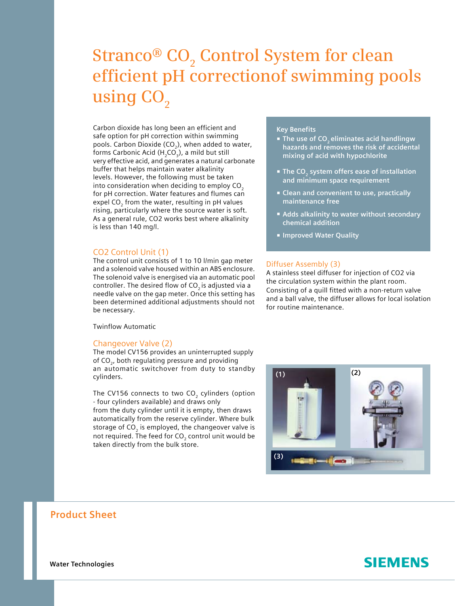# $\operatorname{Stranco}^{\circledR}$   $\mathbf{CO}_{2}$  Control System for clean **efficient pH correctionof swimming pools**  using CO<sub>2</sub>

Carbon dioxide has long been an efficient and safe option for pH correction within swimming pools. Carbon Dioxide (CO<sub>2</sub>), when added to water, forms Carbonic Acid ( $H_2CO_3$ ), a mild but still very effective acid, and generates a natural carbonate buffer that helps maintain water alkalinity levels. However, the following must be taken into consideration when deciding to employ  $CO<sub>2</sub>$ for pH correction. Water features and flumes can expel CO<sub>2</sub> from the water, resulting in pH values rising, particularly where the source water is soft. As a general rule, CO2 works best where alkalinity is less than 140 mg/l.

## CO2 Control Unit (1)

The control unit consists of 1 to 10 l/min gap meter and a solenoid valve housed within an ABS enclosure. The solenoid valve is energised via an automatic pool controller. The desired flow of  $CO<sub>2</sub>$  is adjusted via a needle valve on the gap meter. Once this setting has been determined additional adjustments should not be necessary.

Twinflow Automatic

## Changeover Valve (2)

The model CV156 provides an uninterrupted supply of  $CO<sub>2</sub>$ , both regulating pressure and providing an automatic switchover from duty to standby cylinders.

The CV156 connects to two CO<sub>2</sub> cylinders (option - four cylinders available) and draws only from the duty cylinder until it is empty, then draws automatically from the reserve cylinder. Where bulk storage of  $CO<sub>2</sub>$  is employed, the changeover valve is not required. The feed for CO<sub>2</sub> control unit would be taken directly from the bulk store.

# **Key Benefits**

- **The use of CO<sub>2</sub> eliminates acid handlingw hazards and removes the risk of accidental mixing of acid with hypochlorite**
- **The CO<sub>2</sub> system offers ease of installation and minimum space requirement**
- **Clean and convenient to use, practically maintenance free**
- **Adds alkalinity to water without secondary chemical addition**
- **Improved Water Quality**

#### Diffuser Assembly (3)

A stainless steel diffuser for injection of CO2 via the circulation system within the plant room. Consisting of a quill fitted with a non-return valve and a ball valve, the diffuser allows for local isolation for routine maintenance.



# **Product Sheet**

**Water Technologies**

# **SIEMENS**